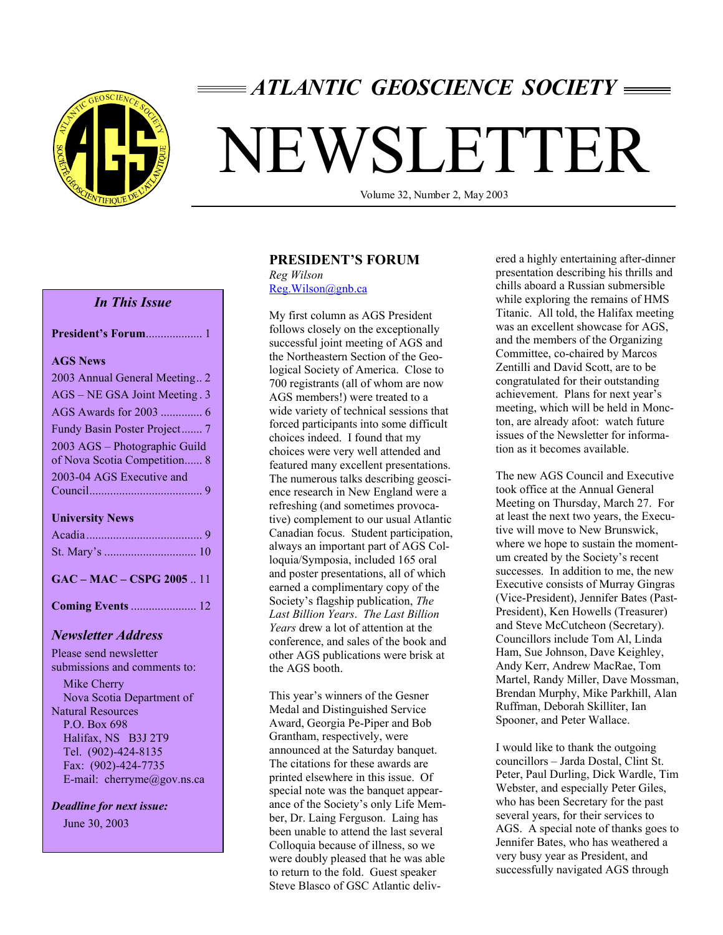

# *ATLANTIC GEOSCIENCE SOCIETY*

# NEWSLETTER

Volume 32, Number 2, May 2003

#### *In This Issue*

| <b>AGS News</b>               |
|-------------------------------|
| 2003 Annual General Meeting2  |
| AGS – NE GSA Joint Meeting. 3 |
| AGS Awards for 2003  6        |
| Fundy Basin Poster Project 7  |
| 2003 AGS - Photographic Guild |
| of Nova Scotia Competition 8  |
| 2003-04 AGS Executive and     |
|                               |
| <b>University News</b>        |
|                               |
|                               |
| GAC – MAC – CSPG 2005  11     |
| <b>Coming Events</b> 12       |
| Newsletter Address            |

Please send newsletter submissions and comments to: Mike Cherry Nova Scotia Department of Natural Resources P.O. Box 698

 Halifax, NS B3J 2T9 Tel. (902)-424-8135 Fax: (902)-424-7735 E-mail: cherryme@gov.ns.ca

*Deadline for next issue:* June 30, 2003

#### **PRESIDENT'S FORUM**

*Reg Wilson*  Reg.Wilson@gnb.ca

My first column as AGS President follows closely on the exceptionally successful joint meeting of AGS and the Northeastern Section of the Geological Society of America. Close to 700 registrants (all of whom are now AGS members!) were treated to a wide variety of technical sessions that forced participants into some difficult choices indeed. I found that my choices were very well attended and featured many excellent presentations. The numerous talks describing geoscience research in New England were a refreshing (and sometimes provocative) complement to our usual Atlantic Canadian focus. Student participation, always an important part of AGS Colloquia/Symposia, included 165 oral and poster presentations, all of which earned a complimentary copy of the Society's flagship publication, *The Last Billion Years*. *The Last Billion Years* drew a lot of attention at the conference, and sales of the book and other AGS publications were brisk at the AGS booth.

This year's winners of the Gesner Medal and Distinguished Service Award, Georgia Pe-Piper and Bob Grantham, respectively, were announced at the Saturday banquet. The citations for these awards are printed elsewhere in this issue. Of special note was the banquet appearance of the Society's only Life Member, Dr. Laing Ferguson. Laing has been unable to attend the last several Colloquia because of illness, so we were doubly pleased that he was able to return to the fold. Guest speaker Steve Blasco of GSC Atlantic delivered a highly entertaining after-dinner presentation describing his thrills and chills aboard a Russian submersible while exploring the remains of HMS Titanic. All told, the Halifax meeting was an excellent showcase for AGS, and the members of the Organizing Committee, co-chaired by Marcos Zentilli and David Scott, are to be congratulated for their outstanding achievement. Plans for next year's meeting, which will be held in Moncton, are already afoot: watch future issues of the Newsletter for information as it becomes available.

The new AGS Council and Executive took office at the Annual General Meeting on Thursday, March 27. For at least the next two years, the Executive will move to New Brunswick, where we hope to sustain the momentum created by the Society's recent successes. In addition to me, the new Executive consists of Murray Gingras (Vice-President), Jennifer Bates (Past-President), Ken Howells (Treasurer) and Steve McCutcheon (Secretary). Councillors include Tom Al, Linda Ham, Sue Johnson, Dave Keighley, Andy Kerr, Andrew MacRae, Tom Martel, Randy Miller, Dave Mossman, Brendan Murphy, Mike Parkhill, Alan Ruffman, Deborah Skilliter, Ian Spooner, and Peter Wallace.

I would like to thank the outgoing councillors – Jarda Dostal, Clint St. Peter, Paul Durling, Dick Wardle, Tim Webster, and especially Peter Giles, who has been Secretary for the past several years, for their services to AGS. A special note of thanks goes to Jennifer Bates, who has weathered a very busy year as President, and successfully navigated AGS through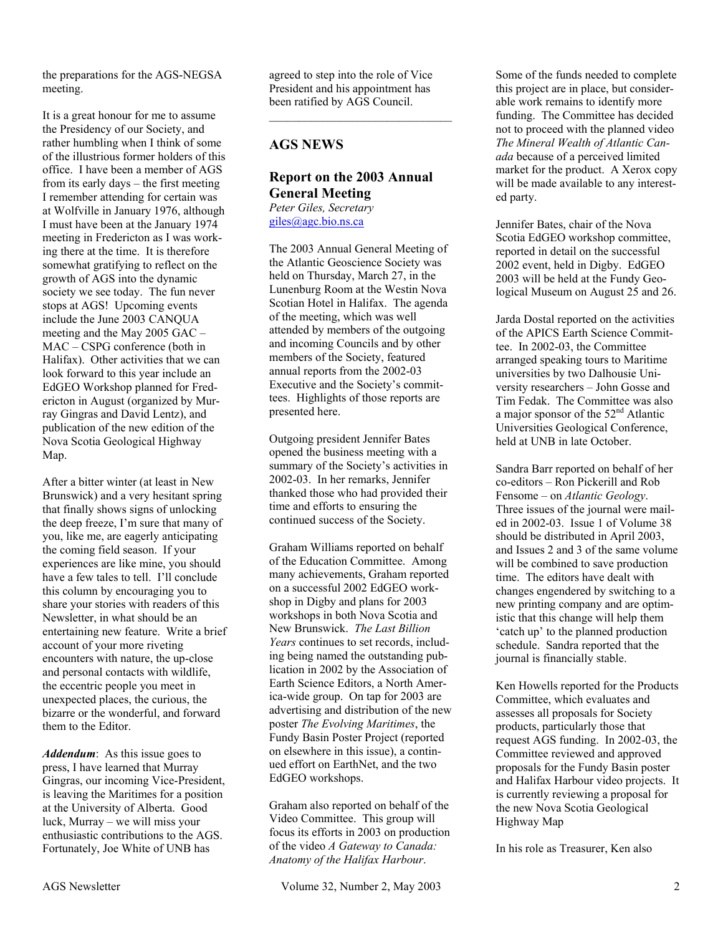the preparations for the AGS-NEGSA meeting.

It is a great honour for me to assume the Presidency of our Society, and rather humbling when I think of some of the illustrious former holders of this office. I have been a member of AGS from its early days – the first meeting I remember attending for certain was at Wolfville in January 1976, although I must have been at the January 1974 meeting in Fredericton as I was working there at the time. It is therefore somewhat gratifying to reflect on the growth of AGS into the dynamic society we see today. The fun never stops at AGS! Upcoming events include the June 2003 CANQUA meeting and the May 2005 GAC – MAC – CSPG conference (both in Halifax). Other activities that we can look forward to this year include an EdGEO Workshop planned for Fredericton in August (organized by Murray Gingras and David Lentz), and publication of the new edition of the Nova Scotia Geological Highway Map.

After a bitter winter (at least in New Brunswick) and a very hesitant spring that finally shows signs of unlocking the deep freeze, I'm sure that many of you, like me, are eagerly anticipating the coming field season. If your experiences are like mine, you should have a few tales to tell. I'll conclude this column by encouraging you to share your stories with readers of this Newsletter, in what should be an entertaining new feature. Write a brief account of your more riveting encounters with nature, the up-close and personal contacts with wildlife, the eccentric people you meet in unexpected places, the curious, the bizarre or the wonderful, and forward them to the Editor.

*Addendum*: As this issue goes to press, I have learned that Murray Gingras, our incoming Vice-President, is leaving the Maritimes for a position at the University of Alberta. Good luck, Murray – we will miss your enthusiastic contributions to the AGS. Fortunately, Joe White of UNB has

agreed to step into the role of Vice President and his appointment has been ratified by AGS Council.

 $\overline{\phantom{a}}$  , and the set of the set of the set of the set of the set of the set of the set of the set of the set of the set of the set of the set of the set of the set of the set of the set of the set of the set of the s

# **AGS NEWS**

#### **Report on the 2003 Annual General Meeting**  *Peter Giles, Secretary*  giles@agc.bio.ns.ca

The 2003 Annual General Meeting of the Atlantic Geoscience Society was held on Thursday, March 27, in the Lunenburg Room at the Westin Nova Scotian Hotel in Halifax. The agenda of the meeting, which was well attended by members of the outgoing and incoming Councils and by other members of the Society, featured annual reports from the 2002-03 Executive and the Society's committees. Highlights of those reports are presented here.

Outgoing president Jennifer Bates opened the business meeting with a summary of the Society's activities in 2002-03. In her remarks, Jennifer thanked those who had provided their time and efforts to ensuring the continued success of the Society.

Graham Williams reported on behalf of the Education Committee. Among many achievements, Graham reported on a successful 2002 EdGEO workshop in Digby and plans for 2003 workshops in both Nova Scotia and New Brunswick. *The Last Billion Years* continues to set records, including being named the outstanding publication in 2002 by the Association of Earth Science Editors, a North America-wide group. On tap for 2003 are advertising and distribution of the new poster *The Evolving Maritimes*, the Fundy Basin Poster Project (reported on elsewhere in this issue), a continued effort on EarthNet, and the two EdGEO workshops.

Graham also reported on behalf of the Video Committee. This group will focus its efforts in 2003 on production of the video *A Gateway to Canada: Anatomy of the Halifax Harbour*.

Some of the funds needed to complete this project are in place, but considerable work remains to identify more funding. The Committee has decided not to proceed with the planned video *The Mineral Wealth of Atlantic Canada* because of a perceived limited market for the product. A Xerox copy will be made available to any interested party.

Jennifer Bates, chair of the Nova Scotia EdGEO workshop committee, reported in detail on the successful 2002 event, held in Digby. EdGEO 2003 will be held at the Fundy Geological Museum on August 25 and 26.

Jarda Dostal reported on the activities of the APICS Earth Science Committee. In 2002-03, the Committee arranged speaking tours to Maritime universities by two Dalhousie University researchers – John Gosse and Tim Fedak. The Committee was also a major sponsor of the  $52<sup>nd</sup>$  Atlantic Universities Geological Conference, held at UNB in late October.

Sandra Barr reported on behalf of her co-editors – Ron Pickerill and Rob Fensome – on *Atlantic Geology*. Three issues of the journal were mailed in 2002-03. Issue 1 of Volume 38 should be distributed in April 2003, and Issues 2 and 3 of the same volume will be combined to save production time. The editors have dealt with changes engendered by switching to a new printing company and are optimistic that this change will help them 'catch up' to the planned production schedule. Sandra reported that the journal is financially stable.

Ken Howells reported for the Products Committee, which evaluates and assesses all proposals for Society products, particularly those that request AGS funding. In 2002-03, the Committee reviewed and approved proposals for the Fundy Basin poster and Halifax Harbour video projects. It is currently reviewing a proposal for the new Nova Scotia Geological Highway Map

In his role as Treasurer, Ken also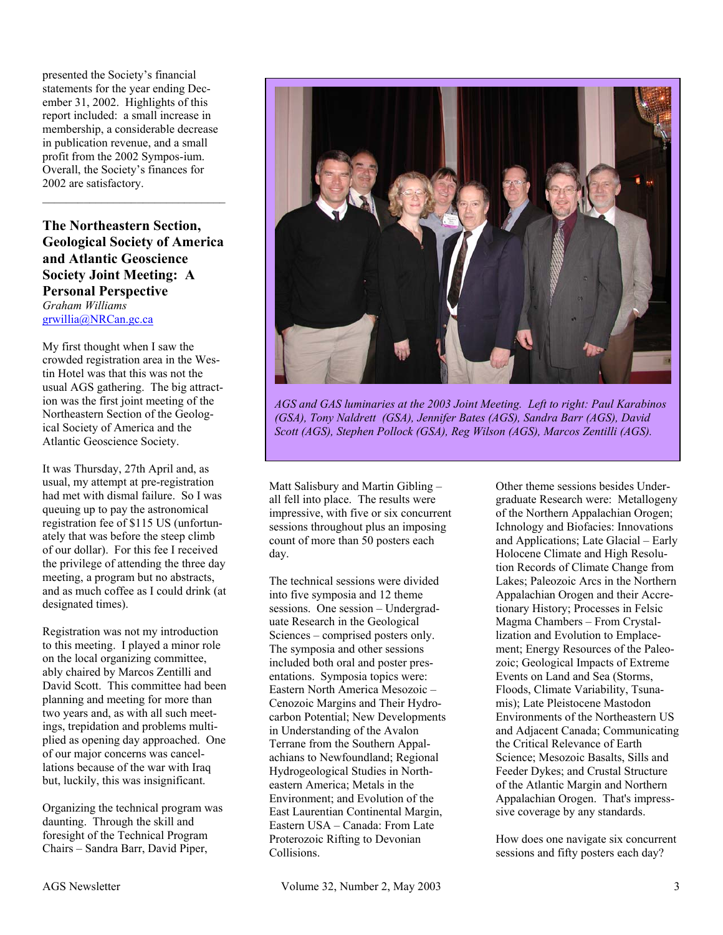presented the Society's financial statements for the year ending December 31, 2002. Highlights of this report included: a small increase in membership, a considerable decrease in publication revenue, and a small profit from the 2002 Sympos-ium. Overall, the Society's finances for 2002 are satisfactory.

**The Northeastern Section, Geological Society of America and Atlantic Geoscience Society Joint Meeting: A Personal Perspective**  *Graham Williams*  grwillia@NRCan.gc.ca

 $\mathcal{L}_\text{max}$  , and the set of the set of the set of the set of the set of the set of the set of the set of the set of the set of the set of the set of the set of the set of the set of the set of the set of the set of the

My first thought when I saw the crowded registration area in the Westin Hotel was that this was not the usual AGS gathering. The big attraction was the first joint meeting of the Northeastern Section of the Geological Society of America and the Atlantic Geoscience Society.

It was Thursday, 27th April and, as usual, my attempt at pre-registration had met with dismal failure. So I was queuing up to pay the astronomical registration fee of \$115 US (unfortunately that was before the steep climb of our dollar). For this fee I received the privilege of attending the three day meeting, a program but no abstracts, and as much coffee as I could drink (at designated times).

Registration was not my introduction to this meeting. I played a minor role on the local organizing committee, ably chaired by Marcos Zentilli and David Scott. This committee had been planning and meeting for more than two years and, as with all such meetings, trepidation and problems multiplied as opening day approached. One of our major concerns was cancellations because of the war with Iraq but, luckily, this was insignificant.

Organizing the technical program was daunting. Through the skill and foresight of the Technical Program Chairs – Sandra Barr, David Piper,



*AGS and GAS luminaries at the 2003 Joint Meeting. Left to right: Paul Karabinos (GSA), Tony Naldrett (GSA), Jennifer Bates (AGS), Sandra Barr (AGS), David Scott (AGS), Stephen Pollock (GSA), Reg Wilson (AGS), Marcos Zentilli (AGS).* 

Matt Salisbury and Martin Gibling – all fell into place. The results were impressive, with five or six concurrent sessions throughout plus an imposing count of more than 50 posters each day.

The technical sessions were divided into five symposia and 12 theme sessions. One session – Undergraduate Research in the Geological Sciences – comprised posters only. The symposia and other sessions included both oral and poster presentations. Symposia topics were: Eastern North America Mesozoic – Cenozoic Margins and Their Hydrocarbon Potential; New Developments in Understanding of the Avalon Terrane from the Southern Appalachians to Newfoundland; Regional Hydrogeological Studies in Northeastern America; Metals in the Environment; and Evolution of the East Laurentian Continental Margin, Eastern USA – Canada: From Late Proterozoic Rifting to Devonian Collisions.

Other theme sessions besides Undergraduate Research were: Metallogeny of the Northern Appalachian Orogen; Ichnology and Biofacies: Innovations and Applications; Late Glacial – Early Holocene Climate and High Resolution Records of Climate Change from Lakes; Paleozoic Arcs in the Northern Appalachian Orogen and their Accretionary History; Processes in Felsic Magma Chambers – From Crystallization and Evolution to Emplacement; Energy Resources of the Paleozoic; Geological Impacts of Extreme Events on Land and Sea (Storms, Floods, Climate Variability, Tsunamis); Late Pleistocene Mastodon Environments of the Northeastern US and Adjacent Canada; Communicating the Critical Relevance of Earth Science; Mesozoic Basalts, Sills and Feeder Dykes; and Crustal Structure of the Atlantic Margin and Northern Appalachian Orogen. That's impresssive coverage by any standards.

How does one navigate six concurrent sessions and fifty posters each day?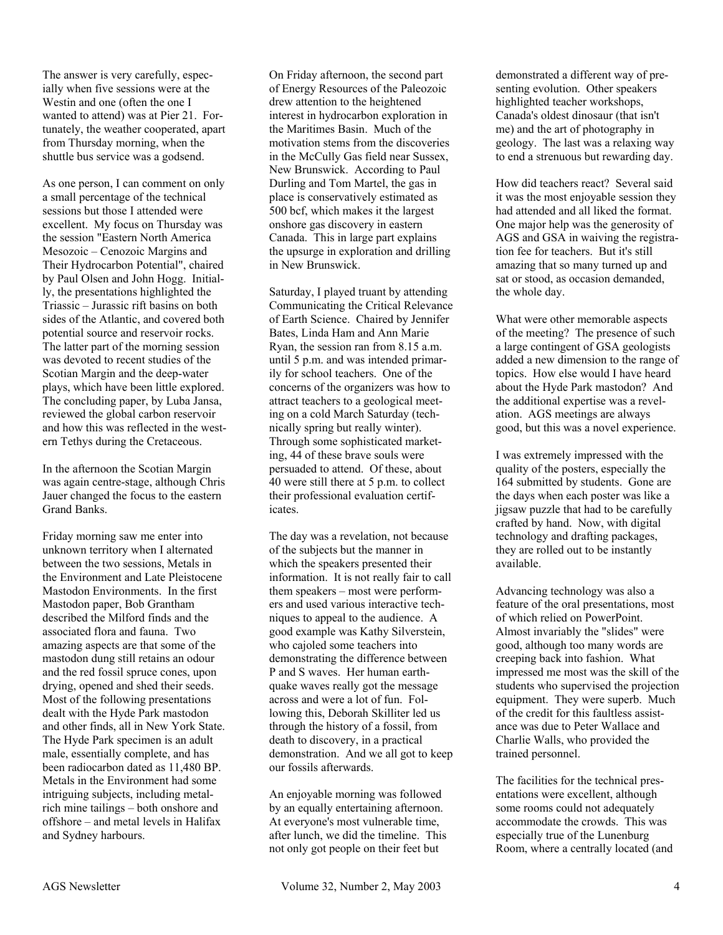The answer is very carefully, especially when five sessions were at the Westin and one (often the one I wanted to attend) was at Pier 21. Fortunately, the weather cooperated, apart from Thursday morning, when the shuttle bus service was a godsend.

As one person, I can comment on only a small percentage of the technical sessions but those I attended were excellent. My focus on Thursday was the session "Eastern North America Mesozoic – Cenozoic Margins and Their Hydrocarbon Potential", chaired by Paul Olsen and John Hogg. Initially, the presentations highlighted the Triassic – Jurassic rift basins on both sides of the Atlantic, and covered both potential source and reservoir rocks. The latter part of the morning session was devoted to recent studies of the Scotian Margin and the deep-water plays, which have been little explored. The concluding paper, by Luba Jansa, reviewed the global carbon reservoir and how this was reflected in the western Tethys during the Cretaceous.

In the afternoon the Scotian Margin was again centre-stage, although Chris Jauer changed the focus to the eastern Grand Banks.

Friday morning saw me enter into unknown territory when I alternated between the two sessions, Metals in the Environment and Late Pleistocene Mastodon Environments. In the first Mastodon paper, Bob Grantham described the Milford finds and the associated flora and fauna. Two amazing aspects are that some of the mastodon dung still retains an odour and the red fossil spruce cones, upon drying, opened and shed their seeds. Most of the following presentations dealt with the Hyde Park mastodon and other finds, all in New York State. The Hyde Park specimen is an adult male, essentially complete, and has been radiocarbon dated as 11,480 BP. Metals in the Environment had some intriguing subjects, including metalrich mine tailings – both onshore and offshore – and metal levels in Halifax and Sydney harbours.

On Friday afternoon, the second part of Energy Resources of the Paleozoic drew attention to the heightened interest in hydrocarbon exploration in the Maritimes Basin. Much of the motivation stems from the discoveries in the McCully Gas field near Sussex, New Brunswick. According to Paul Durling and Tom Martel, the gas in place is conservatively estimated as 500 bcf, which makes it the largest onshore gas discovery in eastern Canada. This in large part explains the upsurge in exploration and drilling in New Brunswick.

Saturday, I played truant by attending Communicating the Critical Relevance of Earth Science. Chaired by Jennifer Bates, Linda Ham and Ann Marie Ryan, the session ran from 8.15 a.m. until 5 p.m. and was intended primarily for school teachers. One of the concerns of the organizers was how to attract teachers to a geological meeting on a cold March Saturday (technically spring but really winter). Through some sophisticated marketing, 44 of these brave souls were persuaded to attend. Of these, about 40 were still there at 5 p.m. to collect their professional evaluation certificates.

The day was a revelation, not because of the subjects but the manner in which the speakers presented their information. It is not really fair to call them speakers – most were performers and used various interactive techniques to appeal to the audience. A good example was Kathy Silverstein, who cajoled some teachers into demonstrating the difference between P and S waves. Her human earthquake waves really got the message across and were a lot of fun. Following this, Deborah Skilliter led us through the history of a fossil, from death to discovery, in a practical demonstration. And we all got to keep our fossils afterwards.

An enjoyable morning was followed by an equally entertaining afternoon. At everyone's most vulnerable time, after lunch, we did the timeline. This not only got people on their feet but

demonstrated a different way of presenting evolution. Other speakers highlighted teacher workshops, Canada's oldest dinosaur (that isn't me) and the art of photography in geology. The last was a relaxing way to end a strenuous but rewarding day.

How did teachers react? Several said it was the most enjoyable session they had attended and all liked the format. One major help was the generosity of AGS and GSA in waiving the registration fee for teachers. But it's still amazing that so many turned up and sat or stood, as occasion demanded, the whole day.

What were other memorable aspects of the meeting? The presence of such a large contingent of GSA geologists added a new dimension to the range of topics. How else would I have heard about the Hyde Park mastodon? And the additional expertise was a revelation. AGS meetings are always good, but this was a novel experience.

I was extremely impressed with the quality of the posters, especially the 164 submitted by students. Gone are the days when each poster was like a jigsaw puzzle that had to be carefully crafted by hand. Now, with digital technology and drafting packages, they are rolled out to be instantly available.

Advancing technology was also a feature of the oral presentations, most of which relied on PowerPoint. Almost invariably the "slides" were good, although too many words are creeping back into fashion. What impressed me most was the skill of the students who supervised the projection equipment. They were superb. Much of the credit for this faultless assistance was due to Peter Wallace and Charlie Walls, who provided the trained personnel.

The facilities for the technical presentations were excellent, although some rooms could not adequately accommodate the crowds. This was especially true of the Lunenburg Room, where a centrally located (and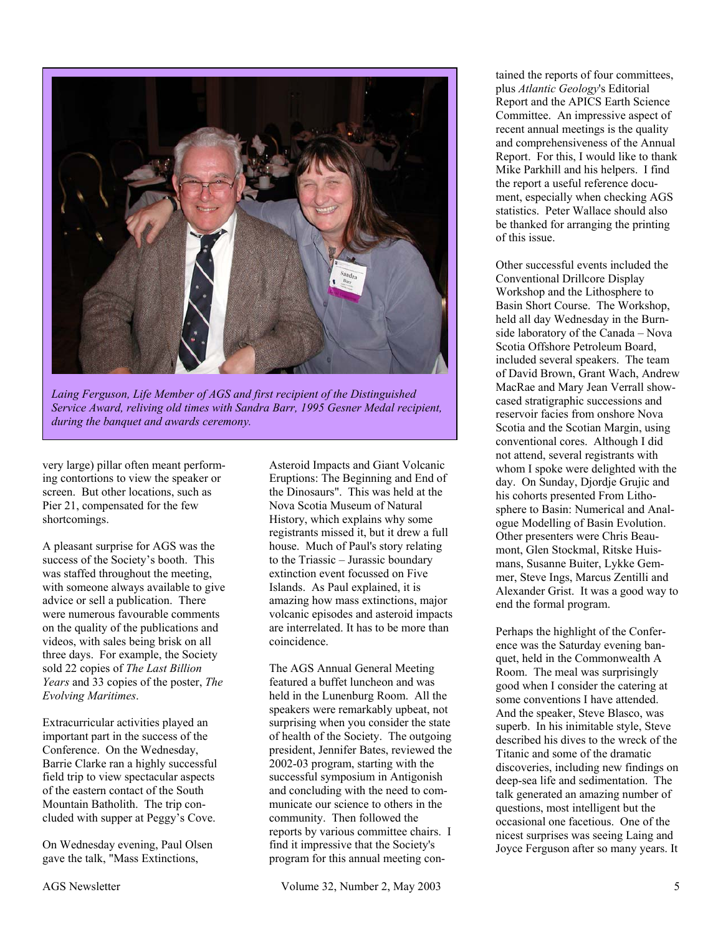

*Laing Ferguson, Life Member of AGS and first recipient of the Distinguished Service Award, reliving old times with Sandra Barr, 1995 Gesner Medal recipient, during the banquet and awards ceremony.* 

very large) pillar often meant performing contortions to view the speaker or screen. But other locations, such as Pier 21, compensated for the few shortcomings.

A pleasant surprise for AGS was the success of the Society's booth. This was staffed throughout the meeting, with someone always available to give advice or sell a publication. There were numerous favourable comments on the quality of the publications and videos, with sales being brisk on all three days. For example, the Society sold 22 copies of *The Last Billion Years* and 33 copies of the poster, *The Evolving Maritimes*.

Extracurricular activities played an important part in the success of the Conference. On the Wednesday, Barrie Clarke ran a highly successful field trip to view spectacular aspects of the eastern contact of the South Mountain Batholith. The trip concluded with supper at Peggy's Cove.

On Wednesday evening, Paul Olsen gave the talk, "Mass Extinctions,

Asteroid Impacts and Giant Volcanic Eruptions: The Beginning and End of the Dinosaurs". This was held at the Nova Scotia Museum of Natural History, which explains why some registrants missed it, but it drew a full house. Much of Paul's story relating to the Triassic – Jurassic boundary extinction event focussed on Five Islands. As Paul explained, it is amazing how mass extinctions, major volcanic episodes and asteroid impacts are interrelated. It has to be more than coincidence.

The AGS Annual General Meeting featured a buffet luncheon and was held in the Lunenburg Room. All the speakers were remarkably upbeat, not surprising when you consider the state of health of the Society. The outgoing president, Jennifer Bates, reviewed the 2002-03 program, starting with the successful symposium in Antigonish and concluding with the need to communicate our science to others in the community. Then followed the reports by various committee chairs. I find it impressive that the Society's program for this annual meeting con-

tained the reports of four committees, plus *Atlantic Geology*'s Editorial Report and the APICS Earth Science Committee. An impressive aspect of recent annual meetings is the quality and comprehensiveness of the Annual Report. For this, I would like to thank Mike Parkhill and his helpers. I find the report a useful reference document, especially when checking AGS statistics. Peter Wallace should also be thanked for arranging the printing of this issue.

Other successful events included the Conventional Drillcore Display Workshop and the Lithosphere to Basin Short Course. The Workshop, held all day Wednesday in the Burnside laboratory of the Canada – Nova Scotia Offshore Petroleum Board, included several speakers. The team of David Brown, Grant Wach, Andrew MacRae and Mary Jean Verrall showcased stratigraphic successions and reservoir facies from onshore Nova Scotia and the Scotian Margin, using conventional cores. Although I did not attend, several registrants with whom I spoke were delighted with the day. On Sunday, Djordje Grujic and his cohorts presented From Lithosphere to Basin: Numerical and Analogue Modelling of Basin Evolution. Other presenters were Chris Beaumont, Glen Stockmal, Ritske Huismans, Susanne Buiter, Lykke Gemmer, Steve Ings, Marcus Zentilli and Alexander Grist. It was a good way to end the formal program.

Perhaps the highlight of the Conference was the Saturday evening banquet, held in the Commonwealth A Room. The meal was surprisingly good when I consider the catering at some conventions I have attended. And the speaker, Steve Blasco, was superb. In his inimitable style, Steve described his dives to the wreck of the Titanic and some of the dramatic discoveries, including new findings on deep-sea life and sedimentation. The talk generated an amazing number of questions, most intelligent but the occasional one facetious. One of the nicest surprises was seeing Laing and Joyce Ferguson after so many years. It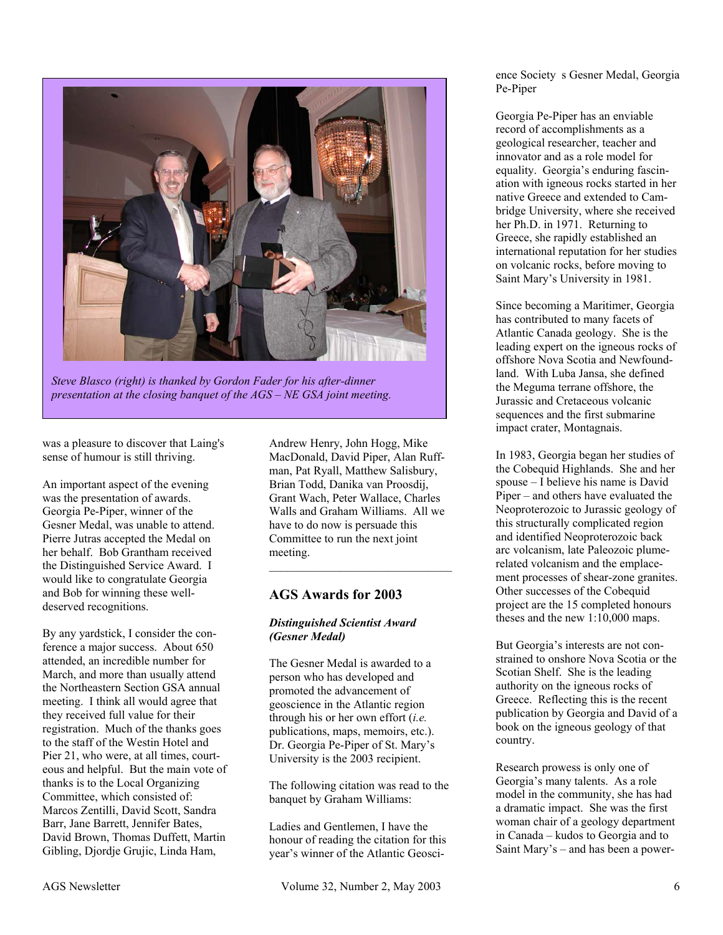

*Steve Blasco (right) is thanked by Gordon Fader for his after-dinner presentation at the closing banquet of the AGS – NE GSA joint meeting.* 

was a pleasure to discover that Laing's sense of humour is still thriving.

An important aspect of the evening was the presentation of awards. Georgia Pe-Piper, winner of the Gesner Medal, was unable to attend. Pierre Jutras accepted the Medal on her behalf. Bob Grantham received the Distinguished Service Award. I would like to congratulate Georgia and Bob for winning these welldeserved recognitions.

By any yardstick, I consider the conference a major success. About 650 attended, an incredible number for March, and more than usually attend the Northeastern Section GSA annual meeting. I think all would agree that they received full value for their registration. Much of the thanks goes to the staff of the Westin Hotel and Pier 21, who were, at all times, courteous and helpful. But the main vote of thanks is to the Local Organizing Committee, which consisted of: Marcos Zentilli, David Scott, Sandra Barr, Jane Barrett, Jennifer Bates, David Brown, Thomas Duffett, Martin Gibling, Djordje Grujic, Linda Ham,

Andrew Henry, John Hogg, Mike MacDonald, David Piper, Alan Ruffman, Pat Ryall, Matthew Salisbury, Brian Todd, Danika van Proosdij, Grant Wach, Peter Wallace, Charles Walls and Graham Williams. All we have to do now is persuade this Committee to run the next joint meeting.  $\overline{\phantom{a}}$  , and the set of the set of the set of the set of the set of the set of the set of the set of the set of the set of the set of the set of the set of the set of the set of the set of the set of the set of the s

# **AGS Awards for 2003**

#### *Distinguished Scientist Award (Gesner Medal)*

The Gesner Medal is awarded to a person who has developed and promoted the advancement of geoscience in the Atlantic region through his or her own effort (*i.e.* publications, maps, memoirs, etc.). Dr. Georgia Pe-Piper of St. Mary's University is the 2003 recipient.

The following citation was read to the banquet by Graham Williams:

Ladies and Gentlemen, I have the honour of reading the citation for this year's winner of the Atlantic Geosci-

ence Society s Gesner Medal, Georgia Pe-Piper

Georgia Pe-Piper has an enviable record of accomplishments as a geological researcher, teacher and innovator and as a role model for equality. Georgia's enduring fascination with igneous rocks started in her native Greece and extended to Cambridge University, where she received her Ph.D. in 1971. Returning to Greece, she rapidly established an international reputation for her studies on volcanic rocks, before moving to Saint Mary's University in 1981.

Since becoming a Maritimer, Georgia has contributed to many facets of Atlantic Canada geology. She is the leading expert on the igneous rocks of offshore Nova Scotia and Newfoundland. With Luba Jansa, she defined the Meguma terrane offshore, the Jurassic and Cretaceous volcanic sequences and the first submarine impact crater, Montagnais.

In 1983, Georgia began her studies of the Cobequid Highlands. She and her spouse – I believe his name is David Piper – and others have evaluated the Neoproterozoic to Jurassic geology of this structurally complicated region and identified Neoproterozoic back arc volcanism, late Paleozoic plumerelated volcanism and the emplacement processes of shear-zone granites. Other successes of the Cobequid project are the 15 completed honours theses and the new 1:10,000 maps.

But Georgia's interests are not constrained to onshore Nova Scotia or the Scotian Shelf. She is the leading authority on the igneous rocks of Greece. Reflecting this is the recent publication by Georgia and David of a book on the igneous geology of that country.

Research prowess is only one of Georgia's many talents. As a role model in the community, she has had a dramatic impact. She was the first woman chair of a geology department in Canada – kudos to Georgia and to Saint Mary's – and has been a power-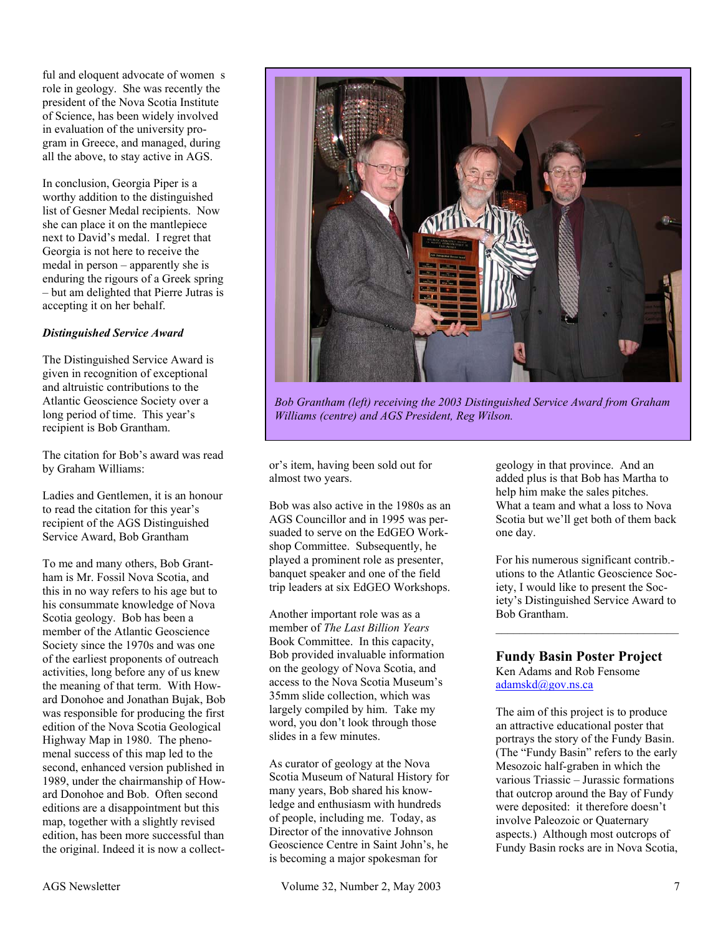ful and eloquent advocate of womens role in geology. She was recently the president of the Nova Scotia Institute of Science, has been widely involved in evaluation of the university program in Greece, and managed, during all the above, to stay active in AGS.

In conclusion, Georgia Piper is a worthy addition to the distinguished list of Gesner Medal recipients. Now she can place it on the mantlepiece next to David's medal. I regret that Georgia is not here to receive the medal in person – apparently she is enduring the rigours of a Greek spring – but am delighted that Pierre Jutras is accepting it on her behalf.

#### *Distinguished Service Award*

The Distinguished Service Award is given in recognition of exceptional and altruistic contributions to the Atlantic Geoscience Society over a long period of time. This year's recipient is Bob Grantham.

The citation for Bob's award was read by Graham Williams:

Ladies and Gentlemen, it is an honour to read the citation for this year's recipient of the AGS Distinguished Service Award, Bob Grantham

To me and many others, Bob Grantham is Mr. Fossil Nova Scotia, and this in no way refers to his age but to his consummate knowledge of Nova Scotia geology. Bob has been a member of the Atlantic Geoscience Society since the 1970s and was one of the earliest proponents of outreach activities, long before any of us knew the meaning of that term. With Howard Donohoe and Jonathan Bujak, Bob was responsible for producing the first edition of the Nova Scotia Geological Highway Map in 1980. The phenomenal success of this map led to the second, enhanced version published in 1989, under the chairmanship of Howard Donohoe and Bob. Often second editions are a disappointment but this map, together with a slightly revised edition, has been more successful than the original. Indeed it is now a collect-



*Bob Grantham (left) receiving the 2003 Distinguished Service Award from Graham Williams (centre) and AGS President, Reg Wilson.* 

or's item, having been sold out for almost two years.

Bob was also active in the 1980s as an AGS Councillor and in 1995 was persuaded to serve on the EdGEO Workshop Committee. Subsequently, he played a prominent role as presenter, banquet speaker and one of the field trip leaders at six EdGEO Workshops.

Another important role was as a member of *The Last Billion Years* Book Committee. In this capacity, Bob provided invaluable information on the geology of Nova Scotia, and access to the Nova Scotia Museum's 35mm slide collection, which was largely compiled by him. Take my word, you don't look through those slides in a few minutes.

As curator of geology at the Nova Scotia Museum of Natural History for many years, Bob shared his knowledge and enthusiasm with hundreds of people, including me. Today, as Director of the innovative Johnson Geoscience Centre in Saint John's, he is becoming a major spokesman for

geology in that province. And an added plus is that Bob has Martha to help him make the sales pitches. What a team and what a loss to Nova Scotia but we'll get both of them back one day.

For his numerous significant contrib. utions to the Atlantic Geoscience Society, I would like to present the Society's Distinguished Service Award to Bob Grantham.

 $\overline{\phantom{a}}$  , and the set of the set of the set of the set of the set of the set of the set of the set of the set of the set of the set of the set of the set of the set of the set of the set of the set of the set of the s

# **Fundy Basin Poster Project**

Ken Adams and Rob Fensome adamskd $@$ gov.ns.ca

The aim of this project is to produce an attractive educational poster that portrays the story of the Fundy Basin. (The "Fundy Basin" refers to the early Mesozoic half-graben in which the various Triassic – Jurassic formations that outcrop around the Bay of Fundy were deposited: it therefore doesn't involve Paleozoic or Quaternary aspects.) Although most outcrops of Fundy Basin rocks are in Nova Scotia,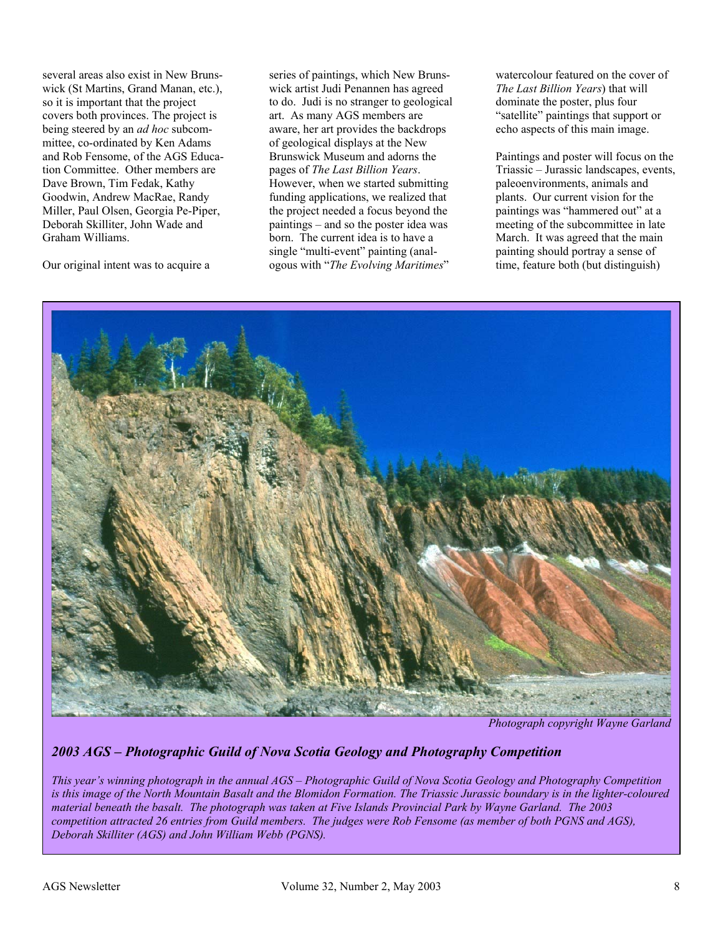several areas also exist in New Brunswick (St Martins, Grand Manan, etc.). so it is important that the project covers both provinces. The project is being steered by an *ad hoc* subcommittee, co-ordinated by Ken Adams and Rob Fensome, of the AGS Education Committee. Other members are Dave Brown, Tim Fedak, Kathy Goodwin, Andrew MacRae, Randy Miller, Paul Olsen, Georgia Pe-Piper, Deborah Skilliter, John Wade and Graham Williams.

Our original intent was to acquire a

series of paintings, which New Brunswick artist Judi Penannen has agreed to do. Judi is no stranger to geological art. As many AGS members are aware, her art provides the backdrops of geological displays at the New Brunswick Museum and adorns the pages of *The Last Billion Years*. However, when we started submitting funding applications, we realized that the project needed a focus beyond the paintings – and so the poster idea was born. The current idea is to have a single "multi-event" painting (analogous with "*The Evolving Maritimes*"

watercolour featured on the cover of *The Last Billion Years*) that will dominate the poster, plus four "satellite" paintings that support or echo aspects of this main image.

Paintings and poster will focus on the Triassic – Jurassic landscapes, events, paleoenvironments, animals and plants. Our current vision for the paintings was "hammered out" at a meeting of the subcommittee in late March. It was agreed that the main painting should portray a sense of time, feature both (but distinguish)



*Photograph copyright Wayne Garland*

# *2003 AGS – Photographic Guild of Nova Scotia Geology and Photography Competition*

*This year's winning photograph in the annual AGS – Photographic Guild of Nova Scotia Geology and Photography Competition*  is this image of the North Mountain Basalt and the Blomidon Formation. The Triassic Jurassic boundary is in the lighter-coloured *material beneath the basalt. The photograph was taken at Five Islands Provincial Park by Wayne Garland. The 2003 competition attracted 26 entries from Guild members. The judges were Rob Fensome (as member of both PGNS and AGS), Deborah Skilliter (AGS) and John William Webb (PGNS).*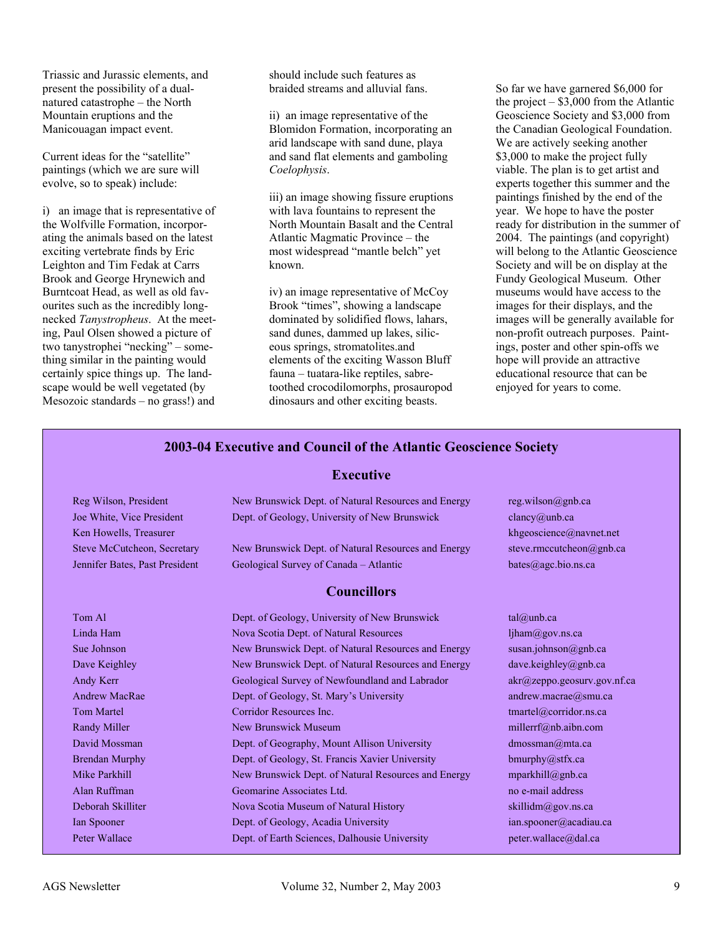Triassic and Jurassic elements, and present the possibility of a dualnatured catastrophe – the North Mountain eruptions and the Manicouagan impact event.

Current ideas for the "satellite" paintings (which we are sure will evolve, so to speak) include:

i) an image that is representative of the Wolfville Formation, incorporating the animals based on the latest exciting vertebrate finds by Eric Leighton and Tim Fedak at Carrs Brook and George Hrynewich and Burntcoat Head, as well as old favourites such as the incredibly longnecked *Tanystropheus*. At the meeting, Paul Olsen showed a picture of two tanystrophei "necking" – something similar in the painting would certainly spice things up. The landscape would be well vegetated (by Mesozoic standards – no grass!) and

should include such features as braided streams and alluvial fans.

ii) an image representative of the Blomidon Formation, incorporating an arid landscape with sand dune, playa and sand flat elements and gamboling *Coelophysis*.

iii) an image showing fissure eruptions with lava fountains to represent the North Mountain Basalt and the Central Atlantic Magmatic Province – the most widespread "mantle belch" yet known.

iv) an image representative of McCoy Brook "times", showing a landscape dominated by solidified flows, lahars, sand dunes, dammed up lakes, siliceous springs, stromatolites.and elements of the exciting Wasson Bluff fauna – tuatara-like reptiles, sabretoothed crocodilomorphs, prosauropod dinosaurs and other exciting beasts.

So far we have garnered \$6,000 for the project  $-$  \$3,000 from the Atlantic Geoscience Society and \$3,000 from the Canadian Geological Foundation. We are actively seeking another \$3,000 to make the project fully viable. The plan is to get artist and experts together this summer and the paintings finished by the end of the year. We hope to have the poster ready for distribution in the summer of 2004. The paintings (and copyright) will belong to the Atlantic Geoscience Society and will be on display at the Fundy Geological Museum. Other museums would have access to the images for their displays, and the images will be generally available for non-profit outreach purposes. Paintings, poster and other spin-offs we hope will provide an attractive educational resource that can be enjoyed for years to come.

#### **2003-04 Executive and Council of the Atlantic Geoscience Society**

#### **Executive**

| Reg Wilson, President          | New Brunswick Dept. of Natural Resources and Energy | reg.wilson@gnb.ca              |  |
|--------------------------------|-----------------------------------------------------|--------------------------------|--|
| Joe White, Vice President      | Dept. of Geology, University of New Brunswick       | clancy@unb.ca                  |  |
| Ken Howells, Treasurer         |                                                     | khgeoscience@navnet.net        |  |
| Steve McCutcheon, Secretary    | New Brunswick Dept. of Natural Resources and Energy | steve.rmccutcheon@gnb.ca       |  |
| Jennifer Bates, Past President | Geological Survey of Canada - Atlantic              | bates@agc.bio.ns.ca            |  |
| <b>Councillors</b>             |                                                     |                                |  |
| Tom Al                         | Dept. of Geology, University of New Brunswick       | tal@umb.ca                     |  |
| Linda Ham                      | Nova Scotia Dept. of Natural Resources              | ljham@gov.ns.ca                |  |
| Sue Johnson                    | New Brunswick Dept. of Natural Resources and Energy | susan.johnson@gnb.ca           |  |
| Dave Keighley                  | New Brunswick Dept. of Natural Resources and Energy | dave.keighley@gnb.ca           |  |
| Andy Kerr                      | Geological Survey of Newfoundland and Labrador      | $akr$ @zeppo.geosurv.gov.nf.ca |  |
| <b>Andrew MacRae</b>           | Dept. of Geology, St. Mary's University             | andrew.macrae@smu.ca           |  |
| <b>Tom Martel</b>              | Corridor Resources Inc.                             | tmartel@corridor.ns.ca         |  |
| Randy Miller                   | New Brunswick Museum                                | millerrf@nb.aibn.com           |  |
| David Mossman                  | Dept. of Geography, Mount Allison University        | dmossman@mta.ca                |  |
| <b>Brendan Murphy</b>          | Dept. of Geology, St. Francis Xavier University     | bmurphy@stfx.ca                |  |
| Mike Parkhill                  | New Brunswick Dept. of Natural Resources and Energy | mparkhill@gnb.ca               |  |
| Alan Ruffman                   | Geomarine Associates Ltd.                           | no e-mail address              |  |
| Deborah Skilliter              | Nova Scotia Museum of Natural History               | skillidm@gov.ns.ca             |  |
| Ian Spooner                    | Dept. of Geology, Acadia University                 | ian.spooner@acadiau.ca         |  |
| Peter Wallace                  | Dept. of Earth Sciences, Dalhousie University       | peter.wallace@dal.ca           |  |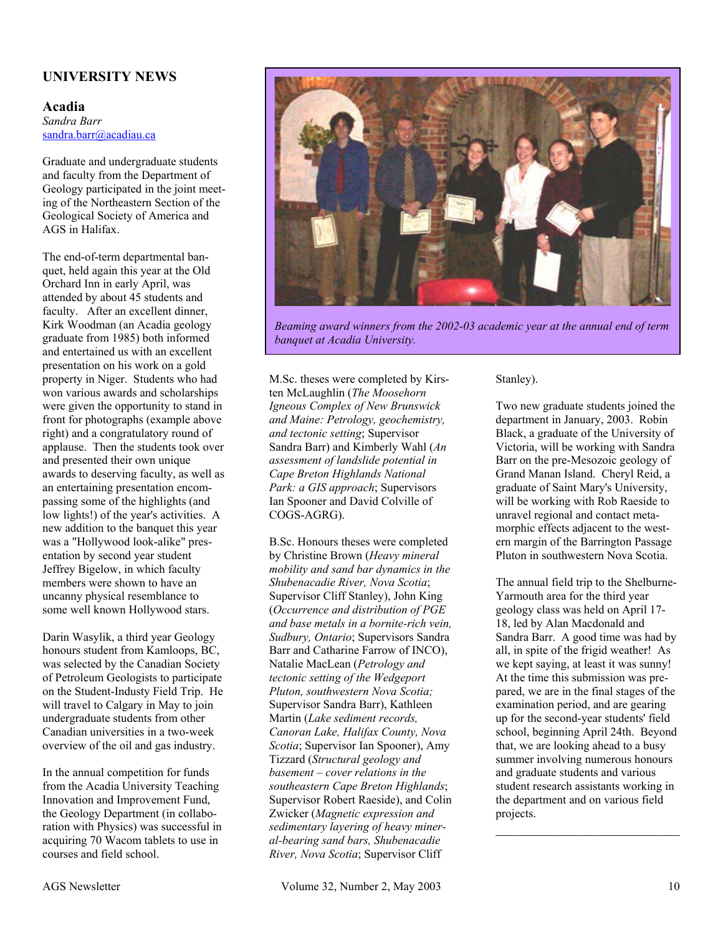# **UNIVERSITY NEWS**

#### **Acadia**  *Sandra Barr*  sandra.barr@acadiau.ca

Graduate and undergraduate students and faculty from the Department of Geology participated in the joint meeting of the Northeastern Section of the Geological Society of America and AGS in Halifax.

The end-of-term departmental banquet, held again this year at the Old Orchard Inn in early April, was attended by about 45 students and faculty. After an excellent dinner, Kirk Woodman (an Acadia geology graduate from 1985) both informed and entertained us with an excellent presentation on his work on a gold property in Niger. Students who had won various awards and scholarships were given the opportunity to stand in front for photographs (example above right) and a congratulatory round of applause. Then the students took over and presented their own unique awards to deserving faculty, as well as an entertaining presentation encompassing some of the highlights (and low lights!) of the year's activities. A new addition to the banquet this year was a "Hollywood look-alike" presentation by second year student Jeffrey Bigelow, in which faculty members were shown to have an uncanny physical resemblance to some well known Hollywood stars.

Darin Wasylik, a third year Geology honours student from Kamloops, BC, was selected by the Canadian Society of Petroleum Geologists to participate on the Student-Industy Field Trip. He will travel to Calgary in May to join undergraduate students from other Canadian universities in a two-week overview of the oil and gas industry.

In the annual competition for funds from the Acadia University Teaching Innovation and Improvement Fund, the Geology Department (in collaboration with Physics) was successful in acquiring 70 Wacom tablets to use in courses and field school.



*Beaming award winners from the 2002-03 academic year at the annual end of term banquet at Acadia University.*

M.Sc. theses were completed by Kirsten McLaughlin (*The Moosehorn Igneous Complex of New Brunswick and Maine: Petrology, geochemistry, and tectonic setting*; Supervisor Sandra Barr) and Kimberly Wahl (*An assessment of landslide potential in Cape Breton Highlands National Park: a GIS approach*; Supervisors Ian Spooner and David Colville of COGS-AGRG).

B.Sc. Honours theses were completed by Christine Brown (*Heavy mineral mobility and sand bar dynamics in the Shubenacadie River, Nova Scotia*; Supervisor Cliff Stanley), John King (*Occurrence and distribution of PGE and base metals in a bornite-rich vein, Sudbury, Ontario*; Supervisors Sandra Barr and Catharine Farrow of INCO), Natalie MacLean (*Petrology and tectonic setting of the Wedgeport Pluton, southwestern Nova Scotia;*  Supervisor Sandra Barr), Kathleen Martin (*Lake sediment records, Canoran Lake, Halifax County, Nova Scotia*; Supervisor Ian Spooner), Amy Tizzard (*Structural geology and basement – cover relations in the southeastern Cape Breton Highlands*; Supervisor Robert Raeside), and Colin Zwicker (*Magnetic expression and sedimentary layering of heavy mineral-bearing sand bars, Shubenacadie River, Nova Scotia*; Supervisor Cliff

Stanley).

Two new graduate students joined the department in January, 2003. Robin Black, a graduate of the University of Victoria, will be working with Sandra Barr on the pre-Mesozoic geology of Grand Manan Island. Cheryl Reid, a graduate of Saint Mary's University, will be working with Rob Raeside to unravel regional and contact metamorphic effects adjacent to the western margin of the Barrington Passage Pluton in southwestern Nova Scotia.

The annual field trip to the Shelburne-Yarmouth area for the third year geology class was held on April 17- 18, led by Alan Macdonald and Sandra Barr. A good time was had by all, in spite of the frigid weather! As we kept saying, at least it was sunny! At the time this submission was prepared, we are in the final stages of the examination period, and are gearing up for the second-year students' field school, beginning April 24th. Beyond that, we are looking ahead to a busy summer involving numerous honours and graduate students and various student research assistants working in the department and on various field projects.  $\mathcal{L}_\text{max}$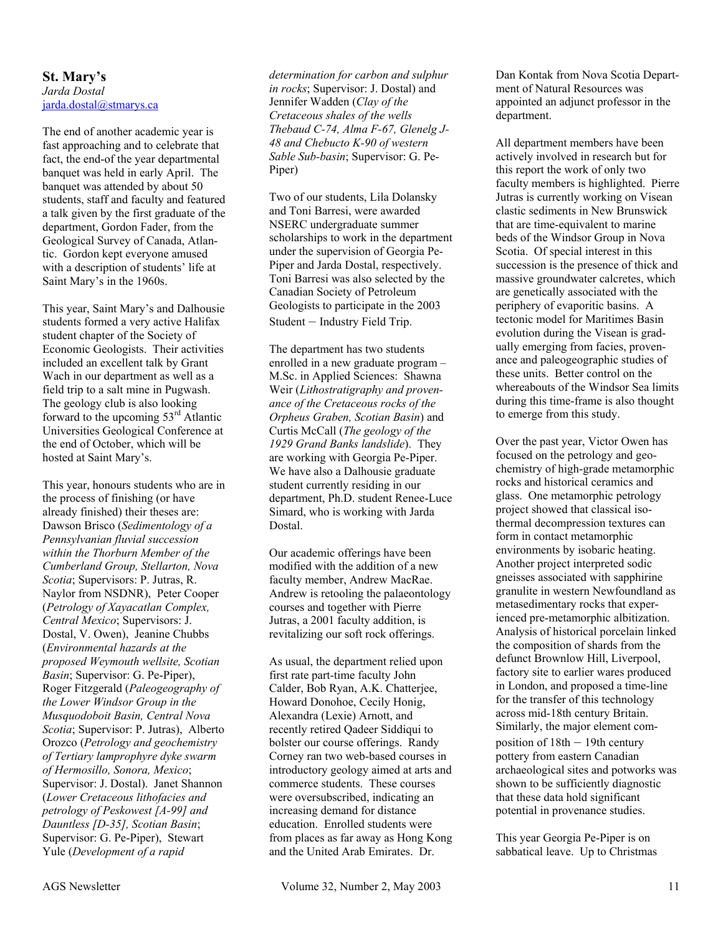#### **St. Mary's**  *Jarda Dostal*  jarda.dostal@stmarys.ca

The end of another academic year is fast approaching and to celebrate that fact, the end-of the year departmental banquet was held in early April. The banquet was attended by about 50 students, staff and faculty and featured a talk given by the first graduate of the department, Gordon Fader, from the Geological Survey of Canada, Atlantic. Gordon kept everyone amused with a description of students' life at Saint Mary's in the 1960s.

This year, Saint Mary's and Dalhousie students formed a very active Halifax student chapter of the Society of Economic Geologists. Their activities included an excellent talk by Grant Wach in our department as well as a field trip to a salt mine in Pugwash. The geology club is also looking forward to the upcoming 53rd Atlantic Universities Geological Conference at the end of October, which will be hosted at Saint Mary's.

This year, honours students who are in the process of finishing (or have already finished) their theses are: Dawson Brisco (*Sedimentology of a Pennsylvanian fluvial succession within the Thorburn Member of the Cumberland Group, Stellarton, Nova Scotia*; Supervisors: P. Jutras, R. Naylor from NSDNR), Peter Cooper (*Petrology of Xayacatlan Complex, Central Mexico*; Supervisors: J. Dostal, V. Owen), Jeanine Chubbs (*Environmental hazards at the proposed Weymouth wellsite, Scotian Basin*; Supervisor: G. Pe-Piper), Roger Fitzgerald (*Paleogeography of the Lower Windsor Group in the Musquodoboit Basin, Central Nova Scotia*; Supervisor: P. Jutras), Alberto Orozco (*Petrology and geochemistry of Tertiary lamprophyre dyke swarm of Hermosillo, Sonora, Mexico*; Supervisor: J. Dostal). Janet Shannon (*Lower Cretaceous lithofacies and petrology of Peskowest [A-99] and Dauntless [D-35], Scotian Basin*; Supervisor: G. Pe-Piper), Stewart Yule (*Development of a rapid* 

*determination for carbon and sulphur in rocks*; Supervisor: J. Dostal) and Jennifer Wadden (*Clay of the Cretaceous shales of the wells Thebaud C-74, Alma F-67, Glenelg J-48 and Chebucto K-90 of western Sable Sub-basin*; Supervisor: G. Pe-Piper)

Two of our students, Lila Dolansky and Toni Barresi, were awarded NSERC undergraduate summer scholarships to work in the department under the supervision of Georgia Pe-Piper and Jarda Dostal, respectively. Toni Barresi was also selected by the Canadian Society of Petroleum Geologists to participate in the 2003 Student – Industry Field Trip.

The department has two students enrolled in a new graduate program – M.Sc. in Applied Sciences: Shawna Weir (*Lithostratigraphy and provenance of the Cretaceous rocks of the Orpheus Graben, Scotian Basin*) and Curtis McCall (*The geology of the 1929 Grand Banks landslide*). They are working with Georgia Pe-Piper. We have also a Dalhousie graduate student currently residing in our department, Ph.D. student Renee-Luce Simard, who is working with Jarda Dostal.

Our academic offerings have been modified with the addition of a new faculty member, Andrew MacRae. Andrew is retooling the palaeontology courses and together with Pierre Jutras, a 2001 faculty addition, is revitalizing our soft rock offerings.

As usual, the department relied upon first rate part-time faculty John Calder, Bob Ryan, A.K. Chatterjee, Howard Donohoe, Cecily Honig, Alexandra (Lexie) Arnott, and recently retired Qadeer Siddiqui to bolster our course offerings. Randy Corney ran two web-based courses in introductory geology aimed at arts and commerce students. These courses were oversubscribed, indicating an increasing demand for distance education. Enrolled students were from places as far away as Hong Kong and the United Arab Emirates. Dr.

Dan Kontak from Nova Scotia Department of Natural Resources was appointed an adjunct professor in the department.

All department members have been actively involved in research but for this report the work of only two faculty members is highlighted. Pierre Jutras is currently working on Visean clastic sediments in New Brunswick that are time-equivalent to marine beds of the Windsor Group in Nova Scotia. Of special interest in this succession is the presence of thick and massive groundwater calcretes, which are genetically associated with the periphery of evaporitic basins. A tectonic model for Maritimes Basin evolution during the Visean is gradually emerging from facies, provenance and paleogeographic studies of these units. Better control on the whereabouts of the Windsor Sea limits during this time-frame is also thought to emerge from this study.

Over the past year, Victor Owen has focused on the petrology and geochemistry of high-grade metamorphic rocks and historical ceramics and glass. One metamorphic petrology project showed that classical isothermal decompression textures can form in contact metamorphic environments by isobaric heating. Another project interpreted sodic gneisses associated with sapphirine granulite in western Newfoundland as metasedimentary rocks that experienced pre-metamorphic albitization. Analysis of historical porcelain linked the composition of shards from the defunct Brownlow Hill, Liverpool, factory site to earlier wares produced in London, and proposed a time-line for the transfer of this technology across mid-18th century Britain. Similarly, the major element composition of 18th – 19th century pottery from eastern Canadian archaeological sites and potworks was shown to be sufficiently diagnostic that these data hold significant potential in provenance studies.

This year Georgia Pe-Piper is on sabbatical leave. Up to Christmas